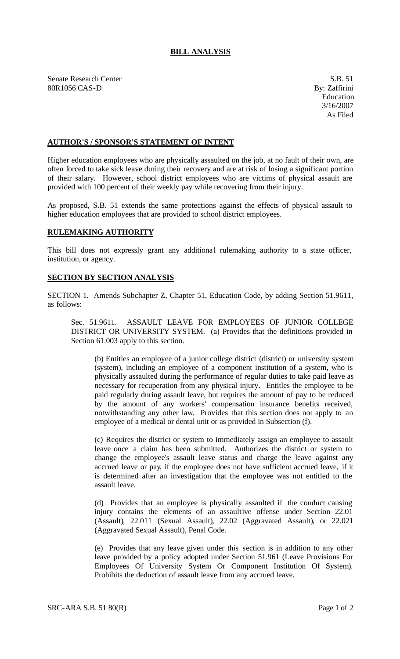## **BILL ANALYSIS**

Senate Research Center S.B. 51 80R1056 CAS-D By: Zaffirini

## **AUTHOR'S / SPONSOR'S STATEMENT OF INTENT**

Higher education employees who are physically assaulted on the job, at no fault of their own, are often forced to take sick leave during their recovery and are at risk of losing a significant portion of their salary. However, school district employees who are victims of physical assault are provided with 100 percent of their weekly pay while recovering from their injury.

As proposed, S.B. 51 extends the same protections against the effects of physical assault to higher education employees that are provided to school district employees.

## **RULEMAKING AUTHORITY**

This bill does not expressly grant any additional rulemaking authority to a state officer, institution, or agency.

## **SECTION BY SECTION ANALYSIS**

SECTION 1. Amends Subchapter Z, Chapter 51, Education Code, by adding Section 51.9611, as follows:

Sec. 51.9611. ASSAULT LEAVE FOR EMPLOYEES OF JUNIOR COLLEGE DISTRICT OR UNIVERSITY SYSTEM. (a) Provides that the definitions provided in Section 61.003 apply to this section.

(b) Entitles an employee of a junior college district (district) or university system (system), including an employee of a component institution of a system, who is physically assaulted during the performance of regular duties to take paid leave as necessary for recuperation from any physical injury. Entitles the employee to be paid regularly during assault leave, but requires the amount of pay to be reduced by the amount of any workers' compensation insurance benefits received, notwithstanding any other law. Provides that this section does not apply to an employee of a medical or dental unit or as provided in Subsection (f).

(c) Requires the district or system to immediately assign an employee to assault leave once a claim has been submitted. Authorizes the district or system to change the employee's assault leave status and charge the leave against any accrued leave or pay, if the employee does not have sufficient accrued leave, if it is determined after an investigation that the employee was not entitled to the assault leave.

(d) Provides that an employee is physically assaulted if the conduct causing injury contains the elements of an assaultive offense under Section 22.01 (Assault), 22.011 (Sexual Assault), 22.02 (Aggravated Assault), or 22.021 (Aggravated Sexual Assault), Penal Code.

(e) Provides that any leave given under this section is in addition to any other leave provided by a policy adopted under Section 51.961 (Leave Provisions For Employees Of University System Or Component Institution Of System). Prohibits the deduction of assault leave from any accrued leave.